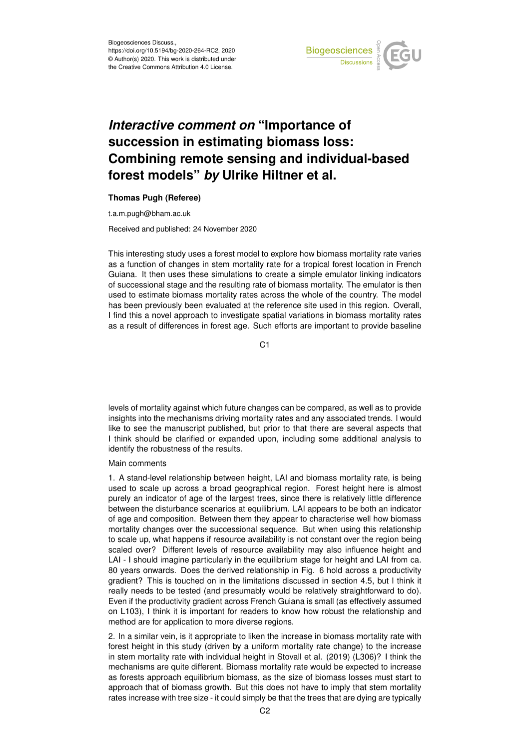

# *Interactive comment on* **"Importance of succession in estimating biomass loss: Combining remote sensing and individual-based forest models"** *by* **Ulrike Hiltner et al.**

## **Thomas Pugh (Referee)**

t.a.m.pugh@bham.ac.uk

Received and published: 24 November 2020

This interesting study uses a forest model to explore how biomass mortality rate varies as a function of changes in stem mortality rate for a tropical forest location in French Guiana. It then uses these simulations to create a simple emulator linking indicators of successional stage and the resulting rate of biomass mortality. The emulator is then used to estimate biomass mortality rates across the whole of the country. The model has been previously been evaluated at the reference site used in this region. Overall, I find this a novel approach to investigate spatial variations in biomass mortality rates as a result of differences in forest age. Such efforts are important to provide baseline

C1

levels of mortality against which future changes can be compared, as well as to provide insights into the mechanisms driving mortality rates and any associated trends. I would like to see the manuscript published, but prior to that there are several aspects that I think should be clarified or expanded upon, including some additional analysis to identify the robustness of the results.

## Main comments

1. A stand-level relationship between height, LAI and biomass mortality rate, is being used to scale up across a broad geographical region. Forest height here is almost purely an indicator of age of the largest trees, since there is relatively little difference between the disturbance scenarios at equilibrium. LAI appears to be both an indicator of age and composition. Between them they appear to characterise well how biomass mortality changes over the successional sequence. But when using this relationship to scale up, what happens if resource availability is not constant over the region being scaled over? Different levels of resource availability may also influence height and LAI - I should imagine particularly in the equilibrium stage for height and LAI from ca. 80 years onwards. Does the derived relationship in Fig. 6 hold across a productivity gradient? This is touched on in the limitations discussed in section 4.5, but I think it really needs to be tested (and presumably would be relatively straightforward to do). Even if the productivity gradient across French Guiana is small (as effectively assumed on L103), I think it is important for readers to know how robust the relationship and method are for application to more diverse regions.

2. In a similar vein, is it appropriate to liken the increase in biomass mortality rate with forest height in this study (driven by a uniform mortality rate change) to the increase in stem mortality rate with individual height in Stovall et al. (2019) (L306)? I think the mechanisms are quite different. Biomass mortality rate would be expected to increase as forests approach equilibrium biomass, as the size of biomass losses must start to approach that of biomass growth. But this does not have to imply that stem mortality rates increase with tree size - it could simply be that the trees that are dying are typically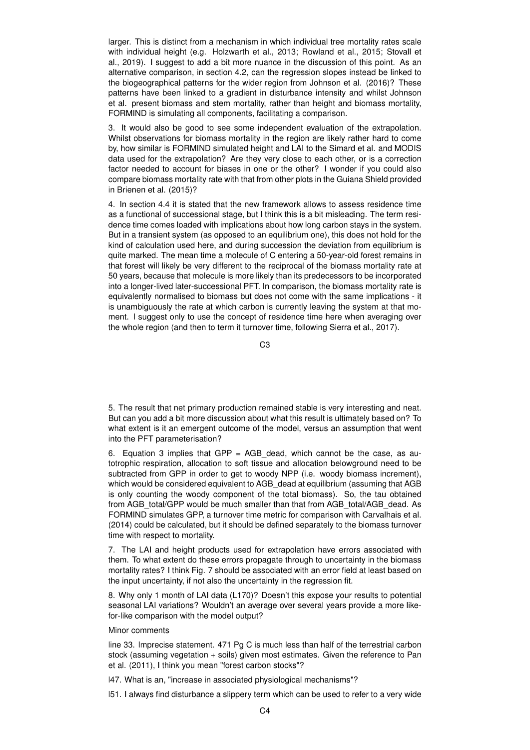larger. This is distinct from a mechanism in which individual tree mortality rates scale with individual height (e.g. Holzwarth et al., 2013; Rowland et al., 2015; Stovall et al., 2019). I suggest to add a bit more nuance in the discussion of this point. As an alternative comparison, in section 4.2, can the regression slopes instead be linked to the biogeographical patterns for the wider region from Johnson et al. (2016)? These patterns have been linked to a gradient in disturbance intensity and whilst Johnson et al. present biomass and stem mortality, rather than height and biomass mortality, FORMIND is simulating all components, facilitating a comparison.

3. It would also be good to see some independent evaluation of the extrapolation. Whilst observations for biomass mortality in the region are likely rather hard to come by, how similar is FORMIND simulated height and LAI to the Simard et al. and MODIS data used for the extrapolation? Are they very close to each other, or is a correction factor needed to account for biases in one or the other? I wonder if you could also compare biomass mortality rate with that from other plots in the Guiana Shield provided in Brienen et al. (2015)?

4. In section 4.4 it is stated that the new framework allows to assess residence time as a functional of successional stage, but I think this is a bit misleading. The term residence time comes loaded with implications about how long carbon stays in the system. But in a transient system (as opposed to an equilibrium one), this does not hold for the kind of calculation used here, and during succession the deviation from equilibrium is quite marked. The mean time a molecule of C entering a 50-year-old forest remains in that forest will likely be very different to the reciprocal of the biomass mortality rate at 50 years, because that molecule is more likely than its predecessors to be incorporated into a longer-lived later-successional PFT. In comparison, the biomass mortality rate is equivalently normalised to biomass but does not come with the same implications - it is unambiguously the rate at which carbon is currently leaving the system at that moment. I suggest only to use the concept of residence time here when averaging over the whole region (and then to term it turnover time, following Sierra et al., 2017).

 $C<sub>3</sub>$ 

5. The result that net primary production remained stable is very interesting and neat. But can you add a bit more discussion about what this result is ultimately based on? To what extent is it an emergent outcome of the model, versus an assumption that went into the PFT parameterisation?

6. Equation 3 implies that GPP = AGB dead, which cannot be the case, as autotrophic respiration, allocation to soft tissue and allocation belowground need to be subtracted from GPP in order to get to woody NPP (i.e. woody biomass increment), which would be considered equivalent to AGB\_dead at equilibrium (assuming that AGB is only counting the woody component of the total biomass). So, the tau obtained from AGB\_total/GPP would be much smaller than that from AGB\_total/AGB\_dead. As FORMIND simulates GPP, a turnover time metric for comparison with Carvalhais et al. (2014) could be calculated, but it should be defined separately to the biomass turnover time with respect to mortality.

7. The LAI and height products used for extrapolation have errors associated with them. To what extent do these errors propagate through to uncertainty in the biomass mortality rates? I think Fig. 7 should be associated with an error field at least based on the input uncertainty, if not also the uncertainty in the regression fit.

8. Why only 1 month of LAI data (L170)? Doesn't this expose your results to potential seasonal LAI variations? Wouldn't an average over several years provide a more likefor-like comparison with the model output?

## Minor comments

line 33. Imprecise statement. 471 Pg C is much less than half of the terrestrial carbon stock (assuming vegetation + soils) given most estimates. Given the reference to Pan et al. (2011), I think you mean "forest carbon stocks"?

l47. What is an, "increase in associated physiological mechanisms"?

l51. I always find disturbance a slippery term which can be used to refer to a very wide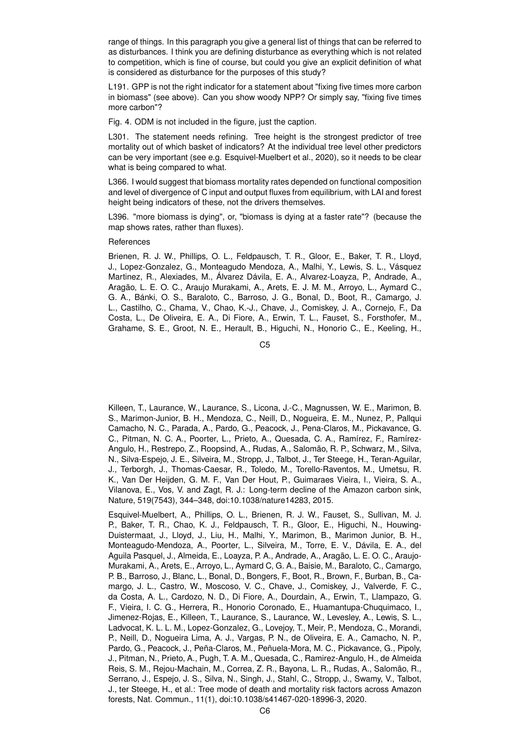range of things. In this paragraph you give a general list of things that can be referred to as disturbances. I think you are defining disturbance as everything which is not related to competition, which is fine of course, but could you give an explicit definition of what is considered as disturbance for the purposes of this study?

L191. GPP is not the right indicator for a statement about "fixing five times more carbon in biomass" (see above). Can you show woody NPP? Or simply say, "fixing five times more carbon"?

Fig. 4. ODM is not included in the figure, just the caption.

L301. The statement needs refining. Tree height is the strongest predictor of tree mortality out of which basket of indicators? At the individual tree level other predictors can be very important (see e.g. Esquivel-Muelbert et al., 2020), so it needs to be clear what is being compared to what.

L366. I would suggest that biomass mortality rates depended on functional composition and level of divergence of C input and output fluxes from equilibrium, with LAI and forest height being indicators of these, not the drivers themselves.

L396. "more biomass is dying", or, "biomass is dying at a faster rate"? (because the map shows rates, rather than fluxes).

# References

Brienen, R. J. W., Phillips, O. L., Feldpausch, T. R., Gloor, E., Baker, T. R., Lloyd, J., Lopez-Gonzalez, G., Monteagudo Mendoza, A., Malhi, Y., Lewis, S. L., Vásquez Martinez, R., Alexiades, M., Álvarez Dávila, E. A., Alvarez-Loayza, P., Andrade, A., Aragão, L. E. O. C., Araujo Murakami, A., Arets, E. J. M. M., Arroyo, L., Aymard C., G. A., Bánki, O. S., Baraloto, C., Barroso, J. G., Bonal, D., Boot, R., Camargo, J. L., Castilho, C., Chama, V., Chao, K.-J., Chave, J., Comiskey, J. A., Cornejo, F., Da Costa, L., De Oliveira, E. A., Di Fiore, A., Erwin, T. L., Fauset, S., Forsthofer, M., Grahame, S. E., Groot, N. E., Herault, B., Higuchi, N., Honorio C., E., Keeling, H.,

C5

Killeen, T., Laurance, W., Laurance, S., Licona, J.-C., Magnussen, W. E., Marimon, B. S., Marimon-Junior, B. H., Mendoza, C., Neill, D., Nogueira, E. M., Nunez, P., Pallqui Camacho, N. C., Parada, A., Pardo, G., Peacock, J., Pena-Claros, M., Pickavance, G. C., Pitman, N. C. A., Poorter, L., Prieto, A., Quesada, C. A., Ramírez, F., Ramírez-Angulo, H., Restrepo, Z., Roopsind, A., Rudas, A., Salomão, R. P., Schwarz, M., Silva, N., Silva-Espejo, J. E., Silveira, M., Stropp, J., Talbot, J., Ter Steege, H., Teran-Aguilar, J., Terborgh, J., Thomas-Caesar, R., Toledo, M., Torello-Raventos, M., Umetsu, R. K., Van Der Heijden, G. M. F., Van Der Hout, P., Guimaraes Vieira, I., Vieira, S. A., Vilanova, E., Vos, V. and Zagt, R. J.: Long-term decline of the Amazon carbon sink, Nature, 519(7543), 344–348, doi:10.1038/nature14283, 2015.

Esquivel-Muelbert, A., Phillips, O. L., Brienen, R. J. W., Fauset, S., Sullivan, M. J. P., Baker, T. R., Chao, K. J., Feldpausch, T. R., Gloor, E., Higuchi, N., Houwing-Duistermaat, J., Lloyd, J., Liu, H., Malhi, Y., Marimon, B., Marimon Junior, B. H., Monteagudo-Mendoza, A., Poorter, L., Silveira, M., Torre, E. V., Dávila, E. A., del Aguila Pasquel, J., Almeida, E., Loayza, P. A., Andrade, A., Aragão, L. E. O. C., Araujo-Murakami, A., Arets, E., Arroyo, L., Aymard C, G. A., Baisie, M., Baraloto, C., Camargo, P. B., Barroso, J., Blanc, L., Bonal, D., Bongers, F., Boot, R., Brown, F., Burban, B., Camargo, J. L., Castro, W., Moscoso, V. C., Chave, J., Comiskey, J., Valverde, F. C., da Costa, A. L., Cardozo, N. D., Di Fiore, A., Dourdain, A., Erwin, T., Llampazo, G. F., Vieira, I. C. G., Herrera, R., Honorio Coronado, E., Huamantupa-Chuquimaco, I., Jimenez-Rojas, E., Killeen, T., Laurance, S., Laurance, W., Levesley, A., Lewis, S. L., Ladvocat, K. L. L. M., Lopez-Gonzalez, G., Lovejoy, T., Meir, P., Mendoza, C., Morandi, P., Neill, D., Nogueira Lima, A. J., Vargas, P. N., de Oliveira, E. A., Camacho, N. P., Pardo, G., Peacock, J., Peña-Claros, M., Peñuela-Mora, M. C., Pickavance, G., Pipoly, J., Pitman, N., Prieto, A., Pugh, T. A. M., Quesada, C., Ramirez-Angulo, H., de Almeida Reis, S. M., Rejou-Machain, M., Correa, Z. R., Bayona, L. R., Rudas, A., Salomão, R., Serrano, J., Espejo, J. S., Silva, N., Singh, J., Stahl, C., Stropp, J., Swamy, V., Talbot, J., ter Steege, H., et al.: Tree mode of death and mortality risk factors across Amazon forests, Nat. Commun., 11(1), doi:10.1038/s41467-020-18996-3, 2020.